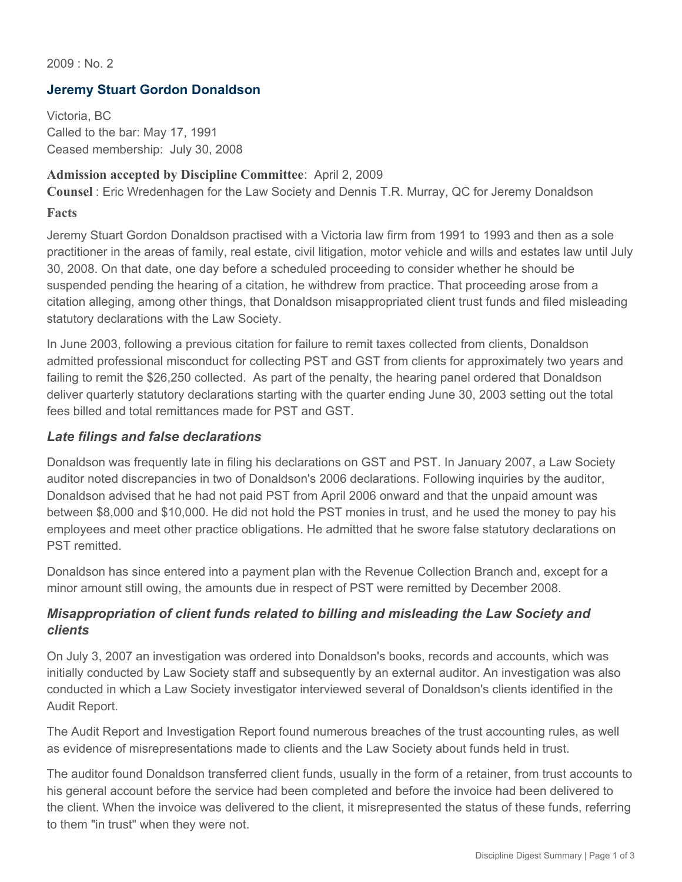$2009 \cdot N_0$  2

## **Jeremy Stuart Gordon Donaldson**

Victoria, BC Called to the bar: May 17, 1991 Ceased membership: July 30, 2008

#### **Admission accepted by Discipline Committee**: April 2, 2009

**Counsel** : Eric Wredenhagen for the Law Society and Dennis T.R. Murray, QC for Jeremy Donaldson

#### **Facts**

Jeremy Stuart Gordon Donaldson practised with a Victoria law firm from 1991 to 1993 and then as a sole practitioner in the areas of family, real estate, civil litigation, motor vehicle and wills and estates law until July 30, 2008. On that date, one day before a scheduled proceeding to consider whether he should be suspended pending the hearing of a citation, he withdrew from practice. That proceeding arose from a citation alleging, among other things, that Donaldson misappropriated client trust funds and filed misleading statutory declarations with the Law Society.

In June 2003, following a previous citation for failure to remit taxes collected from clients, Donaldson admitted professional misconduct for collecting PST and GST from clients for approximately two years and failing to remit the \$26,250 collected. As part of the penalty, the hearing panel ordered that Donaldson deliver quarterly statutory declarations starting with the quarter ending June 30, 2003 setting out the total fees billed and total remittances made for PST and GST.

### *Late filings and false declarations*

Donaldson was frequently late in filing his declarations on GST and PST. In January 2007, a Law Society auditor noted discrepancies in two of Donaldson's 2006 declarations. Following inquiries by the auditor, Donaldson advised that he had not paid PST from April 2006 onward and that the unpaid amount was between \$8,000 and \$10,000. He did not hold the PST monies in trust, and he used the money to pay his employees and meet other practice obligations. He admitted that he swore false statutory declarations on PST remitted.

Donaldson has since entered into a payment plan with the Revenue Collection Branch and, except for a minor amount still owing, the amounts due in respect of PST were remitted by December 2008.

## *Misappropriation of client funds related to billing and misleading the Law Society and clients*

On July 3, 2007 an investigation was ordered into Donaldson's books, records and accounts, which was initially conducted by Law Society staff and subsequently by an external auditor. An investigation was also conducted in which a Law Society investigator interviewed several of Donaldson's clients identified in the Audit Report.

The Audit Report and Investigation Report found numerous breaches of the trust accounting rules, as well as evidence of misrepresentations made to clients and the Law Society about funds held in trust.

The auditor found Donaldson transferred client funds, usually in the form of a retainer, from trust accounts to his general account before the service had been completed and before the invoice had been delivered to the client. When the invoice was delivered to the client, it misrepresented the status of these funds, referring to them "in trust" when they were not.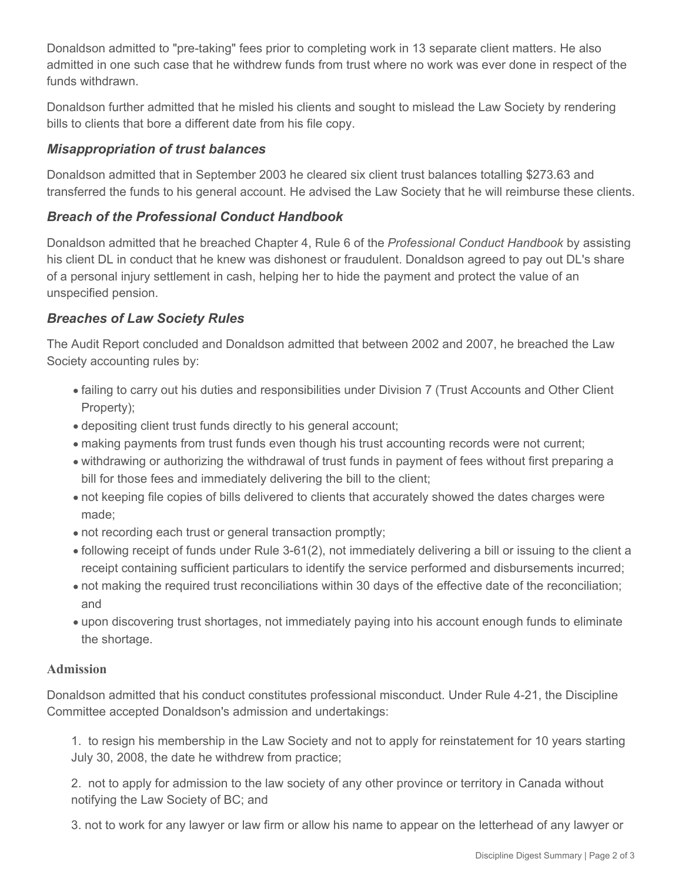Donaldson admitted to "pre-taking" fees prior to completing work in 13 separate client matters. He also admitted in one such case that he withdrew funds from trust where no work was ever done in respect of the funds withdrawn.

Donaldson further admitted that he misled his clients and sought to mislead the Law Society by rendering bills to clients that bore a different date from his file copy.

# *Misappropriation of trust balances*

Donaldson admitted that in September 2003 he cleared six client trust balances totalling \$273.63 and transferred the funds to his general account. He advised the Law Society that he will reimburse these clients.

## *Breach of the Professional Conduct Handbook*

Donaldson admitted that he breached Chapter 4, Rule 6 of the *Professional Conduct Handbook* by assisting his client DL in conduct that he knew was dishonest or fraudulent. Donaldson agreed to pay out DL's share of a personal injury settlement in cash, helping her to hide the payment and protect the value of an unspecified pension.

# *Breaches of Law Society Rules*

The Audit Report concluded and Donaldson admitted that between 2002 and 2007, he breached the Law Society accounting rules by:

- failing to carry out his duties and responsibilities under Division 7 (Trust Accounts and Other Client Property);
- depositing client trust funds directly to his general account;
- making payments from trust funds even though his trust accounting records were not current;
- withdrawing or authorizing the withdrawal of trust funds in payment of fees without first preparing a bill for those fees and immediately delivering the bill to the client;
- not keeping file copies of bills delivered to clients that accurately showed the dates charges were made;
- not recording each trust or general transaction promptly;
- following receipt of funds under Rule 3-61(2), not immediately delivering a bill or issuing to the client a receipt containing sufficient particulars to identify the service performed and disbursements incurred;
- not making the required trust reconciliations within 30 days of the effective date of the reconciliation; and
- upon discovering trust shortages, not immediately paying into his account enough funds to eliminate the shortage.

## **Admission**

Donaldson admitted that his conduct constitutes professional misconduct. Under Rule 4-21, the Discipline Committee accepted Donaldson's admission and undertakings:

1. to resign his membership in the Law Society and not to apply for reinstatement for 10 years starting July 30, 2008, the date he withdrew from practice;

2. not to apply for admission to the law society of any other province or territory in Canada without notifying the Law Society of BC; and

3. not to work for any lawyer or law firm or allow his name to appear on the letterhead of any lawyer or